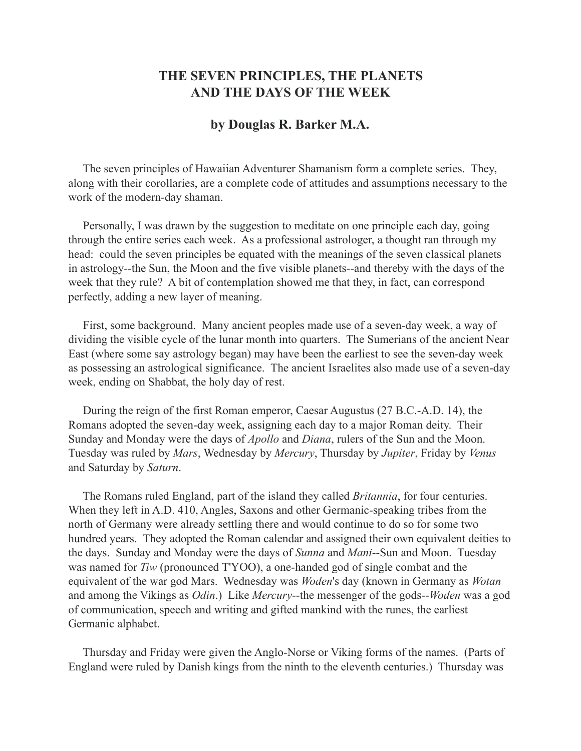## **THE SEVEN PRINCIPLES, THE PLANETS AND THE DAYS OF THE WEEK**

## **by Douglas R. Barker M.A.**

 The seven principles of Hawaiian Adventurer Shamanism form a complete series. They, along with their corollaries, are a complete code of attitudes and assumptions necessary to the work of the modern-day shaman.

 Personally, I was drawn by the suggestion to meditate on one principle each day, going through the entire series each week. As a professional astrologer, a thought ran through my head: could the seven principles be equated with the meanings of the seven classical planets in astrology--the Sun, the Moon and the five visible planets--and thereby with the days of the week that they rule? A bit of contemplation showed me that they, in fact, can correspond perfectly, adding a new layer of meaning.

 First, some background. Many ancient peoples made use of a seven-day week, a way of dividing the visible cycle of the lunar month into quarters. The Sumerians of the ancient Near East (where some say astrology began) may have been the earliest to see the seven-day week as possessing an astrological significance. The ancient Israelites also made use of a seven-day week, ending on Shabbat, the holy day of rest.

 During the reign of the first Roman emperor, Caesar Augustus (27 B.C.-A.D. 14), the Romans adopted the seven-day week, assigning each day to a major Roman deity. Their Sunday and Monday were the days of *Apollo* and *Diana*, rulers of the Sun and the Moon. Tuesday was ruled by *Mars*, Wednesday by *Mercury*, Thursday by *Jupiter*, Friday by *Venus* and Saturday by *Saturn*.

 The Romans ruled England, part of the island they called *Britannia*, for four centuries. When they left in A.D. 410, Angles, Saxons and other Germanic-speaking tribes from the north of Germany were already settling there and would continue to do so for some two hundred years. They adopted the Roman calendar and assigned their own equivalent deities to the days. Sunday and Monday were the days of *Sunna* and *Mani*--Sun and Moon. Tuesday was named for *Tiw* (pronounced T'YOO), a one-handed god of single combat and the equivalent of the war god Mars. Wednesday was *Woden*'s day (known in Germany as *Wotan* and among the Vikings as *Odin*.) Like *Mercury*--the messenger of the gods--*Woden* was a god of communication, speech and writing and gifted mankind with the runes, the earliest Germanic alphabet.

 Thursday and Friday were given the Anglo-Norse or Viking forms of the names. (Parts of England were ruled by Danish kings from the ninth to the eleventh centuries.) Thursday was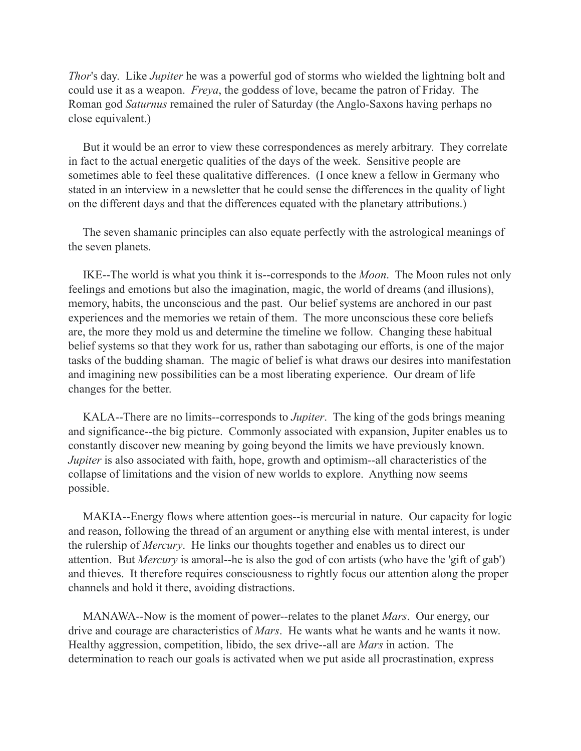*Thor*'s day. Like *Jupiter* he was a powerful god of storms who wielded the lightning bolt and could use it as a weapon. *Freya*, the goddess of love, became the patron of Friday. The Roman god *Saturnus* remained the ruler of Saturday (the Anglo-Saxons having perhaps no close equivalent.)

 But it would be an error to view these correspondences as merely arbitrary. They correlate in fact to the actual energetic qualities of the days of the week. Sensitive people are sometimes able to feel these qualitative differences. (I once knew a fellow in Germany who stated in an interview in a newsletter that he could sense the differences in the quality of light on the different days and that the differences equated with the planetary attributions.)

 The seven shamanic principles can also equate perfectly with the astrological meanings of the seven planets.

 IKE--The world is what you think it is--corresponds to the *Moon*. The Moon rules not only feelings and emotions but also the imagination, magic, the world of dreams (and illusions), memory, habits, the unconscious and the past. Our belief systems are anchored in our past experiences and the memories we retain of them. The more unconscious these core beliefs are, the more they mold us and determine the timeline we follow. Changing these habitual belief systems so that they work for us, rather than sabotaging our efforts, is one of the major tasks of the budding shaman. The magic of belief is what draws our desires into manifestation and imagining new possibilities can be a most liberating experience. Our dream of life changes for the better.

 KALA--There are no limits--corresponds to *Jupiter*. The king of the gods brings meaning and significance--the big picture. Commonly associated with expansion, Jupiter enables us to constantly discover new meaning by going beyond the limits we have previously known. *Jupiter* is also associated with faith, hope, growth and optimism--all characteristics of the collapse of limitations and the vision of new worlds to explore. Anything now seems possible.

 MAKIA--Energy flows where attention goes--is mercurial in nature. Our capacity for logic and reason, following the thread of an argument or anything else with mental interest, is under the rulership of *Mercury*. He links our thoughts together and enables us to direct our attention. But *Mercury* is amoral--he is also the god of con artists (who have the 'gift of gab') and thieves. It therefore requires consciousness to rightly focus our attention along the proper channels and hold it there, avoiding distractions.

 MANAWA--Now is the moment of power--relates to the planet *Mars*. Our energy, our drive and courage are characteristics of *Mars*. He wants what he wants and he wants it now. Healthy aggression, competition, libido, the sex drive--all are *Mars* in action. The determination to reach our goals is activated when we put aside all procrastination, express